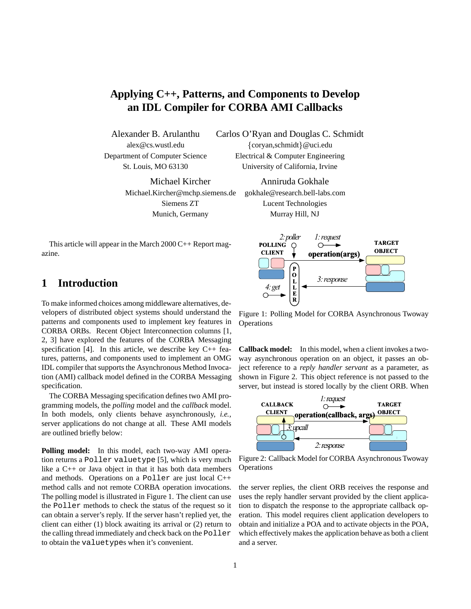# **Applying C++, Patterns, and Components to Develop an IDL Compiler for CORBA AMI Callbacks**

Michael Kircher Anniruda Gokhale Michael.Kircher@mchp.siemens.de gokhale@research.bell-labs.com

Alexander B. Arulanthu Carlos O'Ryan and Douglas C. Schmidt alex@cs.wustl.edu  $\{coryan,schmidt\}$ @uci.edu Department of Computer Science Electrical & Computer Engineering

St. Louis, MO 63130 University of California, Irvine

Siemens ZT Lucent Technologies Munich, Germany Murray Hill, NJ

This article will appear in the March  $2000C++$  Report magazine.

## **1 Introduction**

To make informed choices among middleware alternatives, developers of distributed object systems should understand the patterns and components used to implement key features in CORBA ORBs. Recent Object Interconnection columns [1, 2, 3] have explored the features of the CORBA Messaging specification [4]. In this article, we describe key  $C_{++}$  features, patterns, and components used to implement an OMG IDL compiler that supports the Asynchronous Method Invocation (AMI) callback model defined in the CORBA Messaging specification.

The CORBA Messaging specification defines two AMI programming models, the *polling* model and the *callback* model. In both models, only clients behave asynchronously, *i.e.*, server applications do not change at all. These AMI models are outlined briefly below:

**Polling model:** In this model, each two-way AMI operation returns a Poller valuetype [5], which is very much like a C++ or Java object in that it has both data members and methods. Operations on a Poller are just local C++ method calls and not remote CORBA operation invocations. The polling model is illustrated in Figure 1. The client can use the Poller methods to check the status of the request so it can obtain a server's reply. If the server hasn't replied yet, the client can either (1) block awaiting its arrival or (2) return to the calling thread immediately and check back on the Poller to obtain the valuetypes when it's convenient.



Figure 1: Polling Model for CORBA Asynchronous Twoway **Operations** 

**Callback model:** In this model, when a client invokes a twoway asynchronous operation on an object, it passes an object reference to a *reply handler servant* as a parameter, as shown in Figure 2. This object reference is not passed to the server, but instead is stored locally by the client ORB. When



Figure 2: Callback Model for CORBA Asynchronous Twoway **Operations** 

the server replies, the client ORB receives the response and uses the reply handler servant provided by the client application to dispatch the response to the appropriate callback operation. This model requires client application developers to obtain and initialize a POA and to activate objects in the POA, which effectively makes the application behave as both a client and a server.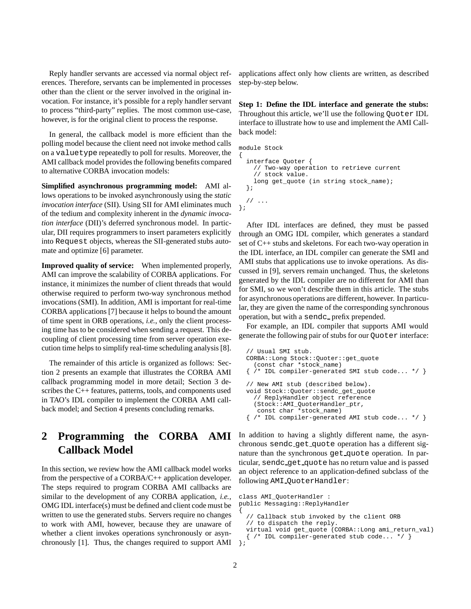Reply handler servants are accessed via normal object references. Therefore, servants can be implemented in processes other than the client or the server involved in the original invocation. For instance, it's possible for a reply handler servant to process "third-party" replies. The most common use-case, however, is for the original client to process the response.

In general, the callback model is more efficient than the polling model because the client need not invoke method calls on a valuetype repeatedly to poll for results. Moreover, the AMI callback model provides the following benefits compared to alternative CORBA invocation models:

**Simplified asynchronous programming model:** AMI allows operations to be invoked asynchronously using the *static invocation interface* (SII). Using SII for AMI eliminates much of the tedium and complexity inherent in the *dynamic invocation interface* (DII)'s deferred synchronous model. In particular, DII requires programmers to insert parameters explicitly into Request objects, whereas the SII-generated stubs automate and optimize [6] parameter.

**Improved quality of service:** When implemented properly, AMI can improve the scalability of CORBA applications. For instance, it minimizes the number of client threads that would otherwise required to perform two-way synchronous method invocations (SMI). In addition, AMI is important for real-time CORBA applications [7] because it helps to bound the amount of time spent in ORB operations, *i.e.*, only the client processing time has to be considered when sending a request. This decoupling of client processing time from server operation execution time helps to simplify real-time scheduling analysis [8].

The remainder of this article is organized as follows: Section 2 presents an example that illustrates the CORBA AMI callback programming model in more detail; Section 3 describes the C++ features, patterns, tools, and components used in TAO's IDL compiler to implement the CORBA AMI callback model; and Section 4 presents concluding remarks.

# **2 Programming the CORBA AMI Callback Model**

In this section, we review how the AMI callback model works from the perspective of a CORBA/C++ application developer. The steps required to program CORBA AMI callbacks are similar to the development of any CORBA application, *i.e.*, OMG IDL interface(s) must be defined and client code must be written to use the generated stubs. Servers require no changes to work with AMI, however, because they are unaware of whether a client invokes operations synchronously or asynchronously [1]. Thus, the changes required to support AMI applications affect only how clients are written, as described step-by-step below.

**Step 1: Define the IDL interface and generate the stubs:** Throughout this article, we'll use the following Quoter IDL interface to illustrate how to use and implement the AMI Callback model:

```
module Stock
{
  interface Quoter {
    // Two-way operation to retrieve current
    // stock value.
    long get_quote (in string stock_name);
  };
  // ...
};
```
After IDL interfaces are defined, they must be passed through an OMG IDL compiler, which generates a standard set of C++ stubs and skeletons. For each two-way operation in the IDL interface, an IDL compiler can generate the SMI and AMI stubs that applications use to invoke operations. As discussed in [9], servers remain unchanged. Thus, the skeletons generated by the IDL compiler are no different for AMI than for SMI, so we won't describe them in this article. The stubs for asynchronous operations are different, however. In particular, they are given the name of the corresponding synchronous operation, but with a sendc\_prefix prepended.

For example, an IDL compiler that supports AMI would generate the following pair of stubs for our Quoter interface:

```
// Usual SMI stub.
CORBA::Long Stock::Quoter::get_quote
  (const char *stock_name)
\{ /* IDL compiler-generated SMI stub code... */ \}// New AMI stub (described below).
void Stock::Quoter::sendc_get_quote
  // ReplyHandler object reference
  (Stock::AMI_QuoterHandler_ptr,
   const char *stock_name)
{ /* IDL compiler-generated AMI stub code... */ }
```
In addition to having a slightly different name, the asynchronous sendc get quote operation has a different signature than the synchronous get quote operation. In particular, sendc get quote has no return value and is passed an object reference to an application-defined subclass of the following AMI QuoterHandler:

```
class AMI_QuoterHandler :
public Messaging::ReplyHandler
{
  // Callback stub invoked by the client ORB
  // to dispatch the reply.
  virtual void get_quote (CORBA::Long ami_return_val)
  { /* IDL compiler-generated stub code... */ }
};
```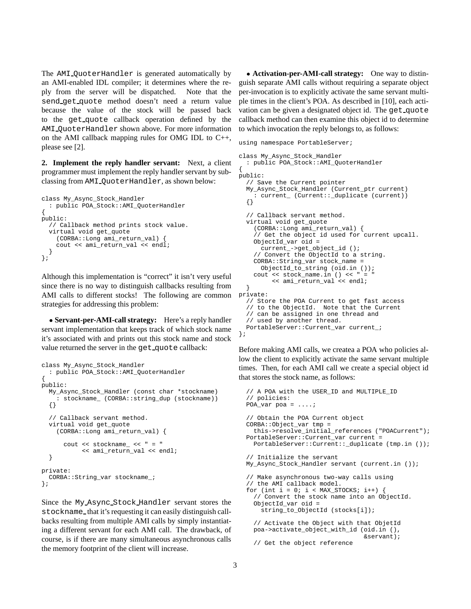The AMI QuoterHandler is generated automatically by an AMI-enabled IDL compiler; it determines where the reply from the server will be dispatched. Note that the send get quote method doesn't need a return value because the value of the stock will be passed back to the get quote callback operation defined by the AMI QuoterHandler shown above. For more information on the AMI callback mapping rules for OMG IDL to C++, please see [2].

**2. Implement the reply handler servant:** Next, a client programmer must implement the reply handler servant by subclassing from AMI QuoterHandler, as shown below:

```
class My_Async_Stock_Handler
  : public POA_Stock::AMI_QuoterHandler
{
public:
  // Callback method prints stock value.
  virtual void get_quote
    (CORBA::Long ami_return_val) {
    cout << ami_return_val << endl;
  }
};
```
Although this implementation is "correct" it isn't very useful since there is no way to distinguish callbacks resulting from AMI calls to different stocks! The following are common strategies for addressing this problem:

 **Servant-per-AMI-call strategy:** Here's a reply handler servant implementation that keeps track of which stock name it's associated with and prints out this stock name and stock value returned the server in the get\_quote callback:

```
class My_Async_Stock_Handler
  : public POA_Stock::AMI_QuoterHandler
{
public:
 My_Async_Stock_Handler (const char *stockname)
    : stockname_ (CORBA::string_dup (stockname))
  {}
  // Callback servant method.
 virtual void get_quote
    (CORBA::Long ami_return_val) {
      cout << stockname_ << " = "
           << ami_return_val << endl;
  }
private:
 CORBA::String_var stockname_;
};
```
Since the My Async Stock Handler servant stores the stockname\_that it's requesting it can easily distinguish callbacks resulting from multiple AMI calls by simply instantiating a different servant for each AMI call. The drawback, of course, is if there are many simultaneous asynchronous calls the memory footprint of the client will increase.

 **Activation-per-AMI-call strategy:** One way to distinguish separate AMI calls without requiring a separate object per-invocation is to explicitly activate the same servant multiple times in the client's POA. As described in [10], each activation can be given a designated object id. The get quote callback method can then examine this object id to determine to which invocation the reply belongs to, as follows:

```
using namespace PortableServer;
```

```
class My_Async_Stock_Handler
 : public POA_Stock::AMI_QuoterHandler
{
public:
  // Save the Current pointer
 My_Async_Stock_Handler (Current_ptr current)
    : current_ (Current::_duplicate (current))
  {}
  // Callback servant method.
 virtual void get_quote
    (CORBA::Long ami_return_val) {
    // Get the object id used for current upcall.
   ObjectId_var oid =
     current_->get_object_id ();
    // Convert the ObjectId to a string.
    CORBA::String_var stock_name =
     ObjectId_to_string (oid.in ());
    cout << stock_name.in () << " = "
         << ami_return_val << endl;
  }
private:
  // Store the POA Current to get fast access
  // to the ObjectId. Note that the Current
  // can be assigned in one thread and
  // used by another thread.
 PortableServer::Current_var current_;
};
```
Before making AMI calls, we createa a POA who policies allow the client to explicitly activate the same servant multiple times. Then, for each AMI call we create a special object id that stores the stock name, as follows:

```
// A POA with the USER_ID and MULTIPLE_ID
// policies:
POA_var poa = ....;
// Obtain the POA Current object
CORBA::Object_var tmp =
  this->resolve_initial_references ("POACurrent");
PortableServer::Current_var current =
  PortableServer::Current::_duplicate (tmp.in ());
// Initialize the servant
My_Async_Stock_Handler servant (current.in ());
// Make asynchronous two-way calls using
// the AMI callback model.
for (int i = 0; i < MAX_STOCKS; i++) {
  // Convert the stock name into an ObjectId.
  ObjectId_var oid =
    string_to_ObjectId (stocks[i]);
  // Activate the Object with that ObjetId
  poa->activate_object_with_id (oid.in (),
                                &servant);
  // Get the object reference
```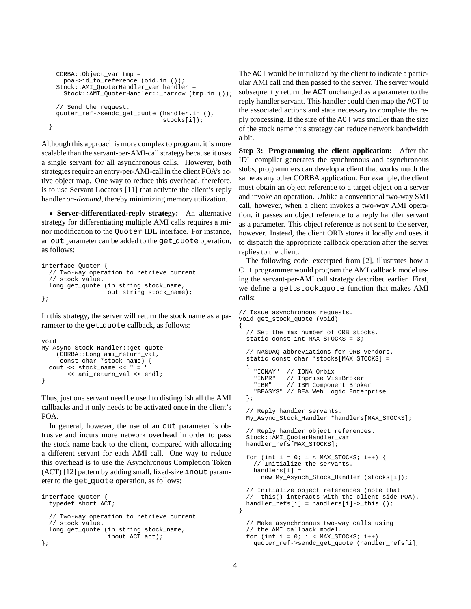```
CORBA::Object_var tmp =
   poa->id_to_reference (oid.in ());
  Stock::AMI_QuoterHandler_var handler =
    Stock::AMI_QuoterHandler::_narrow (tmp.in ());
  // Send the request.
  quoter_ref->sendc_get_quote (handler.in (),
                               stocks[i]);
}
```
Although this approach is more complex to program, it is more scalable than the servant-per-AMI-call strategy because it uses a single servant for all asynchronous calls. However, both strategies require an entry-per-AMI-call in the client POA's active object map. One way to reduce this overhead, therefore, is to use Servant Locators [11] that activate the client's reply handler *on-demand*, thereby minimizing memory utilization.

 **Server-differentiated-reply strategy:** An alternative strategy for differentiating multiple AMI calls requires a minor modification to the Quoter IDL interface. For instance, an out parameter can be added to the get quote operation, as follows:

```
interface Quoter {
  // Two-way operation to retrieve current
  // stock value.
  long get_quote (in string stock_name,
                  out string stock_name);
};
```
In this strategy, the server will return the stock name as a parameter to the get\_quote callback, as follows:

```
void
My_Async_Stock_Handler::get_quote
    (CORBA::Long ami_return_val,
     const char *stock_name) {
 cout << stock_name << " = "
       << ami_return_val << endl;
}
```
Thus, just one servant need be used to distinguish all the AMI callbacks and it only needs to be activated once in the client's POA.

In general, however, the use of an out parameter is obtrusive and incurs more network overhead in order to pass the stock name back to the client, compared with allocating a different servant for each AMI call. One way to reduce this overhead is to use the Asynchronous Completion Token (ACT) [12] pattern by adding small, fixed-size inout parameter to the get\_quote operation, as follows:

```
interface Quoter {
 typedef short ACT;
  // Two-way operation to retrieve current
  // stock value.
  long get_quote (in string stock_name,
                  inout ACT act);
};
```
The ACT would be initialized by the client to indicate a particular AMI call and then passed to the server. The server would subsequently return the ACT unchanged as a parameter to the reply handler servant. This handler could then map the ACT to the associated actions and state necessary to complete the reply processing. If the size of the ACT was smaller than the size of the stock name this strategy can reduce network bandwidth a bit.

**Step 3: Programming the client application:** After the IDL compiler generates the synchronous and asynchronous stubs, programmers can develop a client that works much the same as any other CORBA application. For example, the client must obtain an object reference to a target object on a server and invoke an operation. Unlike a conventional two-way SMI call, however, when a client invokes a two-way AMI operation, it passes an object reference to a reply handler servant as a parameter. This object reference is not sent to the server, however. Instead, the client ORB stores it locally and uses it to dispatch the appropriate callback operation after the server replies to the client.

The following code, excerpted from [2], illustrates how a C++ programmer would program the AMI callback model using the servant-per-AMI call strategy described earlier. First, we define a get stock quote function that makes AMI calls:

```
// Issue asynchronous requests.
void get_stock_quote (void)
{
  // Set the max number of ORB stocks.
  static const int MAX_STOCKS = 3;
  // NASDAQ abbreviations for ORB vendors.
  static const char *stocks[MAX_STOCKS] =
  {
    "IONAY" // IONA Orbix<br>"INPR" // Inprise Vis
             // Inprise VisiBroker
    "IBM" // IBM Component Broker
    "BEASYS" // BEA Web Logic Enterprise
  };
  // Reply handler servants.
  My_Async_Stock_Handler *handlers[MAX_STOCKS];
  // Reply handler object references.
  Stock::AMI_QuoterHandler_var
  handler_refs[MAX_STOCKS];
  for (int i = 0; i < MAX\_STOCKS; i++) {
    // Initialize the servants.
    handlers[i] =
     new My_Asynch_Stock_Handler (stocks[i]);
  // Initialize object references (note that
  // _this() interacts with the client-side POA).
  handler_refs[i] = handlers[i]->_this ();
}
  // Make asynchronous two-way calls using
  // the AMI callback model.
  for (int i = 0; i < MAX\_STOCKS; i++)quoter_ref->sendc_get_quote (handler_refs[i],
```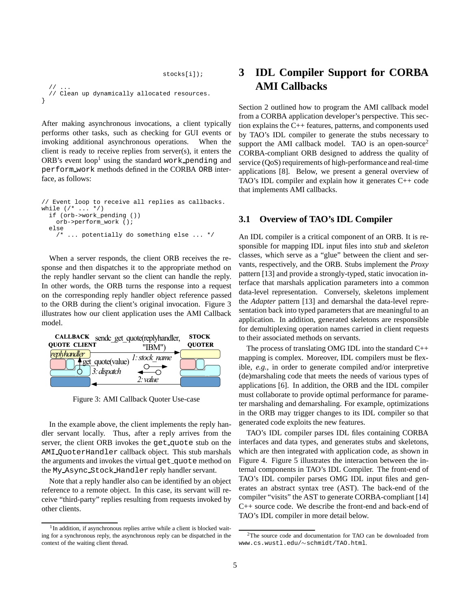stocks[i]);

```
// ...
  // Clean up dynamically allocated resources.
}
```
After making asynchronous invocations, a client typically performs other tasks, such as checking for GUI events or invoking additional asynchronous operations. When the client is ready to receive replies from server(s), it enters the ORB's event  $loop<sup>1</sup>$  using the standard work pending and perform work methods defined in the CORBA ORB interface, as follows:

```
// Event loop to receive all replies as callbacks.
while (\frac{*}{*} \dots *')if (orb->work_pending ())
    orb->perform_work ();
  else
       /* ... potentially do something else ... */
```
When a server responds, the client ORB receives the response and then dispatches it to the appropriate method on the reply handler servant so the client can handle the reply. In other words, the ORB turns the response into a request on the corresponding reply handler object reference passed to the ORB during the client's original invocation. Figure 3 illustrates how our client application uses the AMI Callback model.



Figure 3: AMI Callback Quoter Use-case

In the example above, the client implements the reply handler servant locally. Thus, after a reply arrives from the server, the client ORB invokes the get\_quote stub on the AMI QuoterHandler callback object. This stub marshals the arguments and invokes the virtual get quote method on the My Async Stock Handler reply handler servant.

Note that a reply handler also can be identified by an object reference to a remote object. In this case, its servant will receive "third-party" replies resulting from requests invoked by other clients.

# **3 IDL Compiler Support for CORBA AMI Callbacks**

Section 2 outlined how to program the AMI callback model from a CORBA application developer's perspective. This section explains the C++ features, patterns, and components used by TAO's IDL compiler to generate the stubs necessary to support the AMI callback model. TAO is an open-source<sup>2</sup> CORBA-compliant ORB designed to address the quality of service (QoS) requirements of high-performance and real-time applications [8]. Below, we present a general overview of TAO's IDL compiler and explain how it generates C++ code that implements AMI callbacks.

### **3.1 Overview of TAO's IDL Compiler**

An IDL compiler is a critical component of an ORB. It is responsible for mapping IDL input files into *stub* and *skeleton* classes, which serve as a "glue" between the client and servants, respectively, and the ORB. Stubs implement the *Proxy* pattern [13] and provide a strongly-typed, static invocation interface that marshals application parameters into a common data-level representation. Conversely, skeletons implement the *Adapter* pattern [13] and demarshal the data-level representation back into typed parameters that are meaningful to an application. In addition, generated skeletons are responsible for demultiplexing operation names carried in client requests to their associated methods on servants.

The process of translating OMG IDL into the standard C++ mapping is complex. Moreover, IDL compilers must be flexible, *e.g.*, in order to generate compiled and/or interpretive (de)marshaling code that meets the needs of various types of applications [6]. In addition, the ORB and the IDL compiler must collaborate to provide optimal performance for parameter marshaling and demarshaling. For example, optimizations in the ORB may trigger changes to its IDL compiler so that generated code exploits the new features.

TAO's IDL compiler parses IDL files containing CORBA interfaces and data types, and generates stubs and skeletons, which are then integrated with application code, as shown in Figure 4. Figure 5 illustrates the interaction between the internal components in TAO's IDL Compiler. The front-end of TAO's IDL compiler parses OMG IDL input files and generates an abstract syntax tree (AST). The back-end of the compiler "visits" the AST to generate CORBA-compliant [14] C++ source code. We describe the front-end and back-end of TAO's IDL compiler in more detail below.

<sup>&</sup>lt;sup>1</sup>In addition, if asynchronous replies arrive while a client is blocked waiting for a synchronous reply, the asynchronous reply can be dispatched in the context of the waiting client thread.

<sup>&</sup>lt;sup>2</sup>The source code and documentation for TAO can be downloaded from www.cs.wustl.edu/~schmidt/TAO.html.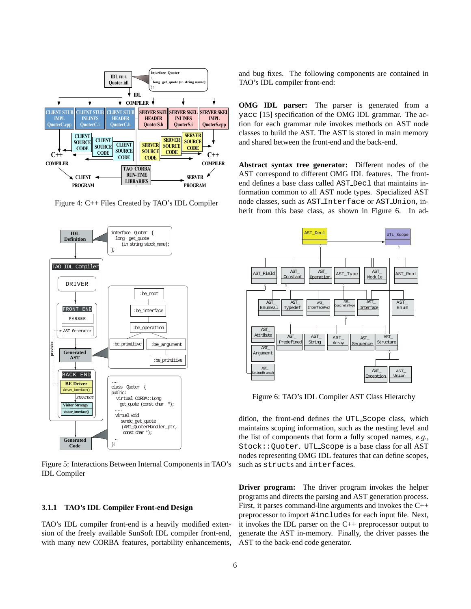

Figure 4: C++ Files Created by TAO's IDL Compiler



Figure 5: Interactions Between Internal Components in TAO's IDL Compiler

#### **3.1.1 TAO's IDL Compiler Front-end Design**

TAO's IDL compiler front-end is a heavily modified extension of the freely available SunSoft IDL compiler front-end, with many new CORBA features, portability enhancements, and bug fixes. The following components are contained in TAO's IDL compiler front-end:

**OMG IDL parser:** The parser is generated from a yacc [15] specification of the OMG IDL grammar. The action for each grammar rule invokes methods on AST node classes to build the AST. The AST is stored in main memory and shared between the front-end and the back-end.

**Abstract syntax tree generator:** Different nodes of the AST correspond to different OMG IDL features. The frontend defines a base class called AST Decl that maintains information common to all AST node types. Specialized AST node classes, such as AST Interface or AST Union, inherit from this base class, as shown in Figure 6. In ad-



Figure 6: TAO's IDL Compiler AST Class Hierarchy

dition, the front-end defines the UTL Scope class, which maintains scoping information, such as the nesting level and the list of components that form a fully scoped names, *e.g.*, Stock::Quoter. UTL Scope is a base class for all AST nodes representing OMG IDL features that can define scopes, such as structs and interfaces.

**Driver program:** The driver program invokes the helper programs and directs the parsing and AST generation process. First, it parses command-line arguments and invokes the C++ preprocessor to import #includes for each input file. Next, it invokes the IDL parser on the C++ preprocessor output to generate the AST in-memory. Finally, the driver passes the AST to the back-end code generator.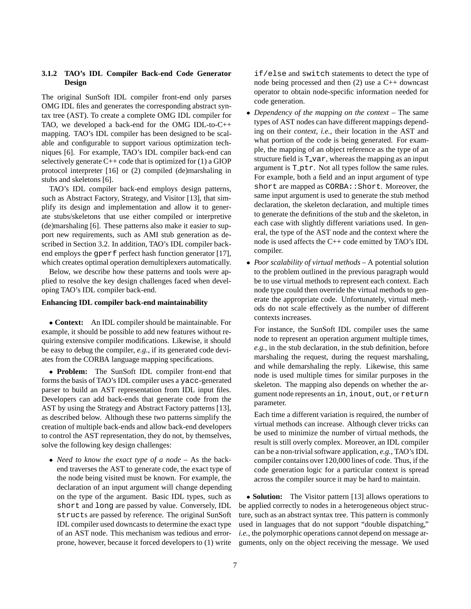#### **3.1.2 TAO's IDL Compiler Back-end Code Generator Design**

The original SunSoft IDL compiler front-end only parses OMG IDL files and generates the corresponding abstract syntax tree (AST). To create a complete OMG IDL compiler for TAO, we developed a back-end for the OMG IDL-to-C++ mapping. TAO's IDL compiler has been designed to be scalable and configurable to support various optimization techniques [6]. For example, TAO's IDL compiler back-end can selectively generate  $C++$  code that is optimized for  $(1)$  a GIOP protocol interpreter [16] or (2) compiled (de)marshaling in stubs and skeletons [6].

TAO's IDL compiler back-end employs design patterns, such as Abstract Factory, Strategy, and Visitor [13], that simplify its design and implementation and allow it to generate stubs/skeletons that use either compiled or interpretive (de)marshaling [6]. These patterns also make it easier to support new requirements, such as AMI stub generation as described in Section 3.2. In addition, TAO's IDL compiler backend employs the gperf perfect hash function generator [17], which creates optimal operation demultiplexers automatically.

Below, we describe how these patterns and tools were applied to resolve the key design challenges faced when developing TAO's IDL compiler back-end.

#### **Enhancing IDL compiler back-end maintainability**

 **Context:**An IDL compiler should be maintainable. For example, it should be possible to add new features without requiring extensive compiler modifications. Likewise, it should be easy to debug the compiler, *e.g.*, if its generated code deviates from the CORBA language mapping specifications.

 **Problem:** The SunSoft IDL compiler front-end that forms the basis of TAO's IDL compiler uses a yacc-generated parser to build an AST representation from IDL input files. Developers can add back-ends that generate code from the AST by using the Strategy and Abstract Factory patterns [13], as described below. Although these two patterns simplify the creation of multiple back-ends and allow back-end developers to control the AST representation, they do not, by themselves, solve the following key design challenges:

 *Need to know the exact type of a node* – As the backend traverses the AST to generate code, the exact type of the node being visited must be known. For example, the declaration of an input argument will change depending on the type of the argument. Basic IDL types, such as short and long are passed by value. Conversely, IDL structs are passed by reference. The original SunSoft IDL compiler used downcasts to determine the exact type of an AST node. This mechanism was tedious and errorprone, however, because it forced developers to (1) write if/else and switch statements to detect the type of node being processed and then  $(2)$  use a C++ downcast operator to obtain node-specific information needed for code generation.

- *Dependency of the mapping on the context* The same types of AST nodes can have different mappings depending on their *context*, *i.e.*, their location in the AST and what portion of the code is being generated. For example, the mapping of an object reference as the type of an structure field is  $T_{var}$ , whereas the mapping as an input argument is T ptr. Not all types follow the same rules. For example, both a field and an input argument of type short are mapped as CORBA:: Short. Moreover, the same input argument is used to generate the stub method declaration, the skeleton declaration, and multiple times to generate the definitions of the stub and the skeleton, in each case with slightly different variations used. In general, the type of the AST node and the context where the node is used affects the C++ code emitted by TAO's IDL compiler.
- *Poor scalability of virtual methods* A potential solution to the problem outlined in the previous paragraph would be to use virtual methods to represent each context. Each node type could then override the virtual methods to generate the appropriate code. Unfortunately, virtual methods do not scale effectively as the number of different contexts increases.

For instance, the SunSoft IDL compiler uses the same node to represent an operation argument multiple times, *e.g.*, in the stub declaration, in the stub definition, before marshaling the request, during the request marshaling, and while demarshaling the reply. Likewise, this same node is used multiple times for similar purposes in the skeleton. The mapping also depends on whether the argument node represents an in, inout, out, or return parameter.

Each time a different variation is required, the number of virtual methods can increase. Although clever tricks can be used to minimize the number of virtual methods, the result is still overly complex. Moreover, an IDL compiler can be a non-trivial software application, *e.g.*, TAO's IDL compiler contains over 120,000 lines of code. Thus, if the code generation logic for a particular context is spread across the compiler source it may be hard to maintain.

 **Solution:** The Visitor pattern [13] allows operations to be applied correctly to nodes in a heterogeneous object structure, such as an abstract syntax tree. This pattern is commonly used in languages that do not support "double dispatching," *i.e.*, the polymorphic operations cannot depend on message arguments, only on the object receiving the message. We used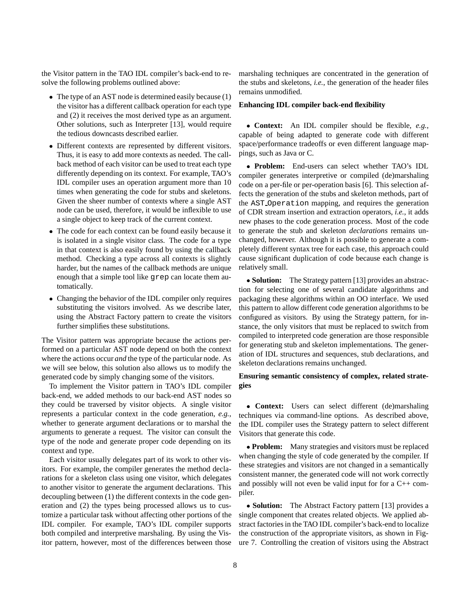the Visitor pattern in the TAO IDL compiler's back-end to resolve the following problems outlined above:

- The type of an AST node is determined easily because (1) the visitor has a different callback operation for each type and (2) it receives the most derived type as an argument. Other solutions, such as Interpreter [13], would require the tedious downcasts described earlier.
- Different contexts are represented by different visitors. Thus, it is easy to add more contexts as needed. The callback method of each visitor can be used to treat each type differently depending on its context. For example, TAO's IDL compiler uses an operation argument more than 10 times when generating the code for stubs and skeletons. Given the sheer number of contexts where a single AST node can be used, therefore, it would be inflexible to use a single object to keep track of the current context.
- The code for each context can be found easily because it is isolated in a single visitor class. The code for a type in that context is also easily found by using the callback method. Checking a type across all contexts is slightly harder, but the names of the callback methods are unique enough that a simple tool like grep can locate them automatically.
- Changing the behavior of the IDL compiler only requires substituting the visitors involved. As we describe later, using the Abstract Factory pattern to create the visitors further simplifies these substitutions.

The Visitor pattern was appropriate because the actions performed on a particular AST node depend on both the context where the actions occur *and* the type of the particular node. As we will see below, this solution also allows us to modify the generated code by simply changing some of the visitors.

To implement the Visitor pattern in TAO's IDL compiler back-end, we added methods to our back-end AST nodes so they could be traversed by visitor objects. A single visitor represents a particular context in the code generation, *e.g.*, whether to generate argument declarations or to marshal the arguments to generate a request. The visitor can consult the type of the node and generate proper code depending on its context and type.

Each visitor usually delegates part of its work to other visitors. For example, the compiler generates the method declarations for a skeleton class using one visitor, which delegates to another visitor to generate the argument declarations. This decoupling between (1) the different contexts in the code generation and (2) the types being processed allows us to customize a particular task without affecting other portions of the IDL compiler. For example, TAO's IDL compiler supports both compiled and interpretive marshaling. By using the Visitor pattern, however, most of the differences between those

marshaling techniques are concentrated in the generation of the stubs and skeletons, *i.e.*, the generation of the header files remains unmodified.

#### **Enhancing IDL compiler back-end flexibility**

 **Context:** An IDL compiler should be flexible, *e.g.*, capable of being adapted to generate code with different space/performance tradeoffs or even different language mappings, such as Java or C.

 **Problem:** End-users can select whether TAO's IDL compiler generates interpretive or compiled (de)marshaling code on a per-file or per-operation basis [6]. This selection affects the generation of the stubs and skeleton methods, part of the AST Operation mapping, and requires the generation of CDR stream insertion and extraction operators, *i.e.*, it adds new phases to the code generation process. Most of the code to generate the stub and skeleton *declarations* remains unchanged, however. Although it is possible to generate a completely different syntax tree for each case, this approach could cause significant duplication of code because each change is relatively small.

 **Solution:** The Strategy pattern [13] provides an abstraction for selecting one of several candidate algorithms and packaging these algorithms within an OO interface. We used this pattern to allow different code generation algorithms to be configured as visitors. By using the Strategy pattern, for instance, the only visitors that must be replaced to switch from compiled to interpreted code generation are those responsible for generating stub and skeleton implementations. The generation of IDL structures and sequences, stub declarations, and skeleton declarations remains unchanged.

#### **Ensuring semantic consistency of complex, related strategies**

 **Context:** Users can select different (de)marshaling techniques via command-line options. As described above, the IDL compiler uses the Strategy pattern to select different Visitors that generate this code.

 **Problem:** Many strategies and visitors must be replaced when changing the style of code generated by the compiler. If these strategies and visitors are not changed in a semantically consistent manner, the generated code will not work correctly and possibly will not even be valid input for for a C++ compiler.

 **Solution:** The Abstract Factory pattern [13] provides a single component that creates related objects. We applied abstract factories in the TAO IDL compiler's back-end to localize the construction of the appropriate visitors, as shown in Figure 7. Controlling the creation of visitors using the Abstract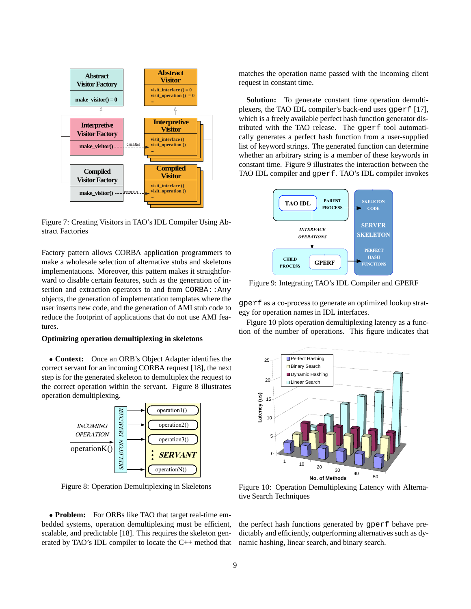

Figure 7: Creating Visitors in TAO's IDL Compiler Using Abstract Factories

Factory pattern allows CORBA application programmers to make a wholesale selection of alternative stubs and skeletons implementations. Moreover, this pattern makes it straightforward to disable certain features, such as the generation of insertion and extraction operators to and from CORBA::Any objects, the generation of implementation templates where the user inserts new code, and the generation of AMI stub code to reduce the footprint of applications that do not use AMI features.

#### **Optimizing operation demultiplexing in skeletons**

• Context: Once an ORB's Object Adapter identifies the correct servant for an incoming CORBA request [18], the next step is for the generated skeleton to demultiplex the request to the correct operation within the servant. Figure 8 illustrates operation demultiplexing.



Figure 8: Operation Demultiplexing in Skeletons

 **Problem:** For ORBs like TAO that target real-time embedded systems, operation demultiplexing must be efficient, scalable, and predictable [18]. This requires the skeleton generated by TAO's IDL compiler to locate the C++ method that matches the operation name passed with the incoming client request in constant time.

**Solution:** To generate constant time operation demultiplexers, the TAO IDL compiler's back-end uses gperf [17], which is a freely available perfect hash function generator distributed with the TAO release. The gperf tool automatically generates a perfect hash function from a user-supplied list of keyword strings. The generated function can determine whether an arbitrary string is a member of these keywords in constant time. Figure 9 illustrates the interaction between the TAO IDL compiler and gperf. TAO's IDL compiler invokes



Figure 9: Integrating TAO's IDL Compiler and GPERF

gperf as a co-process to generate an optimized lookup strategy for operation names in IDL interfaces.

Figure 10 plots operation demultiplexing latency as a function of the number of operations. This figure indicates that



Figure 10: Operation Demultiplexing Latency with Alternative Search Techniques

the perfect hash functions generated by gperf behave predictably and efficiently, outperforming alternatives such as dynamic hashing, linear search, and binary search.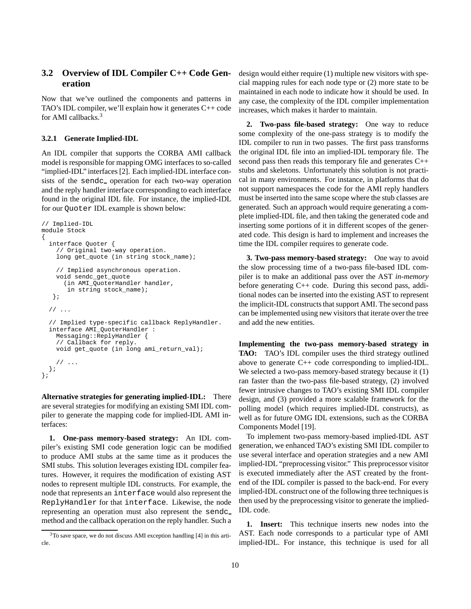## **3.2 Overview of IDL Compiler C++ Code Generation**

Now that we've outlined the components and patterns in TAO's IDL compiler, we'll explain how it generates C++ code for AMI callbacks.<sup>3</sup>

#### **3.2.1 Generate Implied-IDL**

An IDL compiler that supports the CORBA AMI callback model is responsible for mapping OMG interfaces to so-called "implied-IDL" interfaces [2]. Each implied-IDL interface consists of the sendc\_ operation for each two-way operation and the reply handler interface corresponding to each interface found in the original IDL file. For instance, the implied-IDL for our Quoter IDL example is shown below:

```
// Implied-IDL
module Stock
{
  interface Quoter {
    // Original two-way operation.
    long get_quote (in string stock_name);
    // Implied asynchronous operation.
    void sendc_get_quote
      (in AMI_QuoterHandler handler,
       in string stock_name);
   };
  // ...
  // Implied type-specific callback ReplyHandler.
  interface AMI_QuoterHandler :
    Messaging::ReplyHandler {
    // Callback for reply.
    void get_quote (in long ami_return_val);
    // ...
  };
};
```
**Alternative strategies for generating implied-IDL:** There are several strategies for modifying an existing SMI IDL compiler to generate the mapping code for implied-IDL AMI interfaces:

**1. One-pass memory-based strategy:** An IDL compiler's existing SMI code generation logic can be modified to produce AMI stubs at the same time as it produces the SMI stubs. This solution leverages existing IDL compiler features. However, it requires the modification of existing AST nodes to represent multiple IDL constructs. For example, the node that represents an interface would also represent the ReplyHandler for that interface. Likewise, the node representing an operation must also represent the sendc method and the callback operation on the reply handler. Such a

design would either require (1) multiple new visitors with special mapping rules for each node type or (2) more state to be maintained in each node to indicate how it should be used. In any case, the complexity of the IDL compiler implementation increases, which makes it harder to maintain.

**2. Two-pass file-based strategy:** One way to reduce some complexity of the one-pass strategy is to modify the IDL compiler to run in two passes. The first pass transforms the original IDL file into an implied-IDL temporary file. The second pass then reads this temporary file and generates C++ stubs and skeletons. Unfortunately this solution is not practical in many environments. For instance, in platforms that do not support namespaces the code for the AMI reply handlers must be inserted into the same scope where the stub classes are generated. Such an approach would require generating a complete implied-IDL file, and then taking the generated code and inserting some portions of it in different scopes of the generated code. This design is hard to implement and increases the time the IDL compiler requires to generate code.

**3. Two-pass memory-based strategy:** One way to avoid the slow processing time of a two-pass file-based IDL compiler is to make an additional pass over the AST *in-memory* before generating C++ code. During this second pass, additional nodes can be inserted into the existing AST to represent the implicit-IDL constructs that support AMI. The second pass can be implemented using new visitors that iterate over the tree and add the new entities.

**Implementing the two-pass memory-based strategy in TAO:** TAO's IDL compiler uses the third strategy outlined above to generate C++ code corresponding to implied-IDL. We selected a two-pass memory-based strategy because it (1) ran faster than the two-pass file-based strategy, (2) involved fewer intrusive changes to TAO's existing SMI IDL compiler design, and (3) provided a more scalable framework for the polling model (which requires implied-IDL constructs), as well as for future OMG IDL extensions, such as the CORBA Components Model [19].

To implement two-pass memory-based implied-IDL AST generation, we enhanced TAO's existing SMI IDL compiler to use several interface and operation strategies and a new AMI implied-IDL "preprocessing visitor." This preprocessor visitor is executed immediately after the AST created by the frontend of the IDL compiler is passed to the back-end. For every implied-IDL construct one of the following three techniques is then used by the preprocessing visitor to generate the implied-IDL code.

**1. Insert:** This technique inserts new nodes into the AST. Each node corresponds to a particular type of AMI implied-IDL. For instance, this technique is used for all

<sup>3</sup>To save space, we do not discuss AMI exception handling [4] in this article.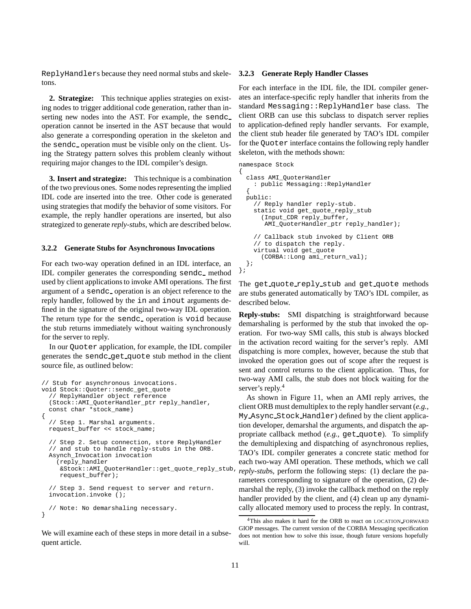ReplyHandlers because they need normal stubs and skele-**3.2.3 Generate Reply Handler Classes** tons.

**2. Strategize:** This technique applies strategies on existing nodes to trigger additional code generation, rather than inserting new nodes into the AST. For example, the sendc operation cannot be inserted in the AST because that would also generate a corresponding operation in the skeleton and the sendc<sub>-</sub> operation must be visible only on the client. Using the Strategy pattern solves this problem cleanly without requiring major changes to the IDL compiler's design.

**3. Insert and strategize:** This technique is a combination of the two previous ones. Some nodes representing the implied IDL code are inserted into the tree. Other code is generated using strategies that modify the behavior of some visitors. For example, the reply handler operations are inserted, but also strategized to generate *reply-stubs*, which are described below.

#### **3.2.2 Generate Stubs for Asynchronous Invocations**

For each two-way operation defined in an IDL interface, an IDL compiler generates the corresponding sendc<sub>n</sub> method used by client applications to invoke AMI operations. The first argument of a sendc<sub>-</sub> operation is an object reference to the reply handler, followed by the in and inout arguments defined in the signature of the original two-way IDL operation. The return type for the sendc operation is void because the stub returns immediately without waiting synchronously for the server to reply.

In our Quoter application, for example, the IDL compiler generates the sendc get quote stub method in the client source file, as outlined below:

```
// Stub for asynchronous invocations.
void Stock::Quoter::sendc_get_quote
  // ReplyHandler object reference
  (Stock::AMI_QuoterHandler_ptr reply_handler,
  const char *stock_name)
{
  // Step 1. Marshal arguments.
 request buffer << stock name;
  // Step 2. Setup connection, store ReplyHandler
  // and stub to handle reply-stubs in the ORB.
  Asynch_Invocation invocation
    (reply_handler
     &Stock::AMI_QuoterHandler::get_quote_reply_stub,
     request_buffer);
  // Step 3. Send request to server and return.
  invocation.invoke ();
  // Note: No demarshaling necessary.
}
```
We will examine each of these steps in more detail in a subsequent article.

For each interface in the IDL file, the IDL compiler generates an interface-specific reply handler that inherits from the standard Messaging::ReplyHandler base class. The client ORB can use this subclass to dispatch server replies to application-defined reply handler servants. For example, the client stub header file generated by TAO's IDL compiler for the Quoter interface contains the following reply handler skeleton, with the methods shown:

```
namespace Stock
{
  class AMI_QuoterHandler
    : public Messaging::ReplyHandler
  {
  public:
    // Reply handler reply-stub.
    static void get_quote_reply_stub
      (Input_CDR reply_buffer,
       AMI_QuoterHandler_ptr reply_handler);
    // Callback stub invoked by Client ORB
    // to dispatch the reply.
    virtual void get_quote
      (CORBA::Long ami_return_val);
  };
};
```
The get quote reply stub and get quote methods are stubs generated automatically by TAO's IDL compiler, as described below.

**Reply-stubs:** SMI dispatching is straightforward because demarshaling is performed by the stub that invoked the operation. For two-way SMI calls, this stub is always blocked in the activation record waiting for the server's reply. AMI dispatching is more complex, however, because the stub that invoked the operation goes out of scope after the request is sent and control returns to the client application. Thus, for two-way AMI calls, the stub does not block waiting for the server's reply.<sup>4</sup>

As shown in Figure 11, when an AMI reply arrives, the client ORB must demultiplex to the reply handler servant (*e.g.*, My Async Stock Handler) defined by the client application developer, demarshal the arguments, and dispatch the appropriate callback method (*e.g.*, get quote). To simplify the demultiplexing and dispatching of asynchronous replies, TAO's IDL compiler generates a concrete static method for each two-way AMI operation. These methods, which we call *reply-stub*s, perform the following steps: (1) declare the parameters corresponding to signature of the operation, (2) demarshal the reply, (3) invoke the callback method on the reply handler provided by the client, and (4) clean up any dynamically allocated memory used to process the reply. In contrast,

<sup>4</sup>This also makes it hard for the ORB to react on LOCATION FORWARD GIOP messages. The current version of the CORBA Messaging specification does not mention how to solve this issue, though future versions hopefully will.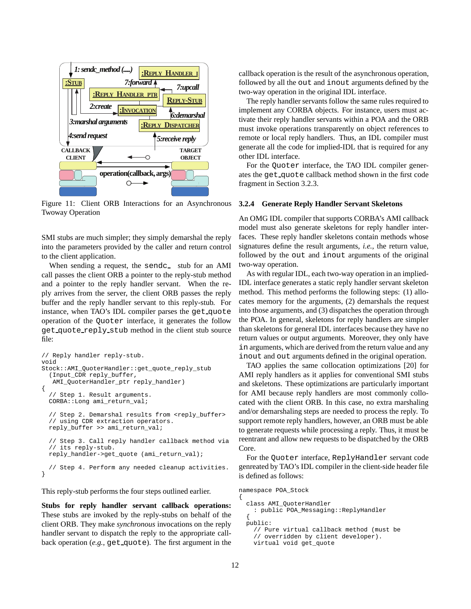

Figure 11: Client ORB Interactions for an Asynchronous Twoway Operation

SMI stubs are much simpler; they simply demarshal the reply into the parameters provided by the caller and return control to the client application.

When sending a request, the sendc\_ stub for an AMI call passes the client ORB a pointer to the reply-stub method and a pointer to the reply handler servant. When the reply arrives from the server, the client ORB passes the reply buffer and the reply handler servant to this reply-stub. For instance, when TAO's IDL compiler parses the get quote operation of the Quoter interface, it generates the follow get quote reply stub method in the client stub source file:

```
// Reply handler reply-stub.
void
Stock::AMI_QuoterHandler::get_quote_reply_stub
  (Input_CDR reply_buffer,
   AMI_QuoterHandler_ptr reply_handler)
{
  // Step 1. Result arguments.
  CORBA::Long ami_return_val;
  // Step 2. Demarshal results from <reply buffer>
  // using CDR extraction operators.
  reply_buffer >> ami_return_val;
  // Step 3. Call reply handler callback method via
  // its reply-stub.
  reply_handler->get_quote (ami_return_val);
  // Step 4. Perform any needed cleanup activities.
}
```
This reply-stub performs the four steps outlined earlier.

**Stubs for reply handler servant callback operations:** These stubs are invoked by the reply-stubs on behalf of the client ORB. They make *synchronous* invocations on the reply handler servant to dispatch the reply to the appropriate callback operation (*e.g.*, get quote). The first argument in the callback operation is the result of the asynchronous operation, followed by all the out and inout arguments defined by the two-way operation in the original IDL interface.

The reply handler servants follow the same rules required to implement any CORBA objects. For instance, users must activate their reply handler servants within a POA and the ORB must invoke operations transparently on object references to remote or local reply handlers. Thus, an IDL compiler must generate all the code for implied-IDL that is required for any other IDL interface.

For the Quoter interface, the TAO IDL compiler generates the get quote callback method shown in the first code fragment in Section 3.2.3.

#### **3.2.4 Generate Reply Handler Servant Skeletons**

An OMG IDL compiler that supports CORBA's AMI callback model must also generate skeletons for reply handler interfaces. These reply handler skeletons contain methods whose signatures define the result arguments, *i.e.*, the return value, followed by the out and inout arguments of the original two-way operation.

As with regular IDL, each two-way operation in an implied-IDL interface generates a static reply handler servant skeleton method. This method performs the following steps: (1) allocates memory for the arguments, (2) demarshals the request into those arguments, and (3) dispatches the operation through the POA. In general, skeletons for reply handlers are simpler than skeletons for general IDL interfaces because they have no return values or output arguments. Moreover, they only have in arguments, which are derived from the return value and any inout and out arguments defined in the original operation.

TAO applies the same collocation optimizations [20] for AMI reply handlers as it applies for conventional SMI stubs and skeletons. These optimizations are particularly important for AMI because reply handlers are most commonly collocated with the client ORB. In this case, no extra marshaling and/or demarshaling steps are needed to process the reply. To support remote reply handlers, however, an ORB must be able to generate requests while processing a reply. Thus, it must be reentrant and allow new requests to be dispatched by the ORB Core.

For the Quoter interface, ReplyHandler servant code genreated by TAO's IDL compiler in the client-side header file is defined as follows:

namespace POA\_Stock {

```
class AMI_QuoterHandler
  : public POA_Messaging::ReplyHandler
{
public:
  // Pure virtual callback method (must be
  // overridden by client developer).
 virtual void get_quote
```